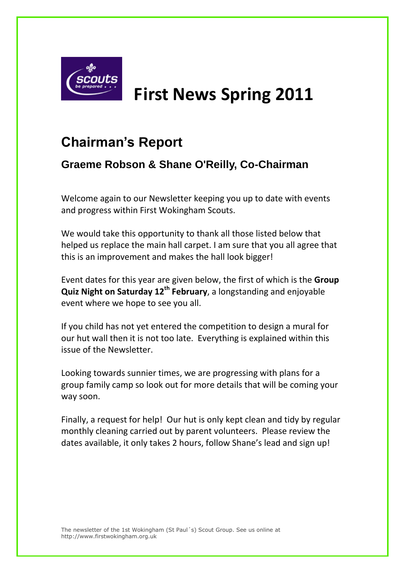

# **First News Spring 2011**

## **Chairman's Report**

## **Graeme Robson & Shane O'Reilly, Co-Chairman**

Welcome again to our Newsletter keeping you up to date with events and progress within First Wokingham Scouts.

We would take this opportunity to thank all those listed below that helped us replace the main hall carpet. I am sure that you all agree that this is an improvement and makes the hall look bigger!

Event dates for this year are given below, the first of which is the **Group Quiz Night on Saturday 12th February**, a longstanding and enjoyable event where we hope to see you all.

If you child has not yet entered the competition to design a mural for our hut wall then it is not too late. Everything is explained within this issue of the Newsletter.

Looking towards sunnier times, we are progressing with plans for a group family camp so look out for more details that will be coming your way soon.

Finally, a request for help! Our hut is only kept clean and tidy by regular monthly cleaning carried out by parent volunteers. Please review the dates available, it only takes 2 hours, follow Shane's lead and sign up!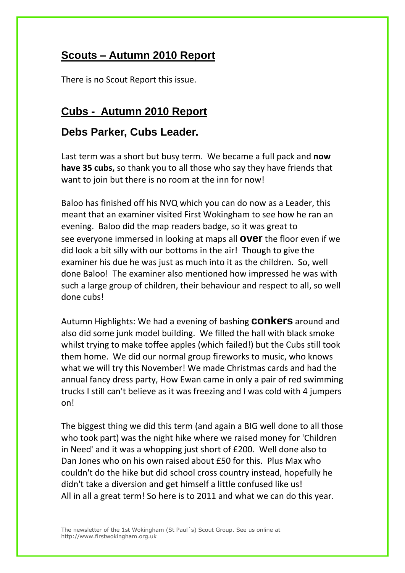#### **Scouts – Autumn 2010 Report**

There is no Scout Report this issue.

#### **Cubs - Autumn 2010 Report**

#### **Debs Parker, Cubs Leader.**

Last term was a short but busy term. We became a full pack and **now have 35 cubs,** so thank you to all those who say they have friends that want to join but there is no room at the inn for now!

Baloo has finished off his NVQ which you can do now as a Leader, this meant that an examiner visited First Wokingham to see how he ran an evening. Baloo did the map readers badge, so it was great to see everyone immersed in looking at maps all **over** the floor even if we did look a bit silly with our bottoms in the air! Though to give the examiner his due he was just as much into it as the children. So, well done Baloo! The examiner also mentioned how impressed he was with such a large group of children, their behaviour and respect to all, so well done cubs!

Autumn Highlights: We had a evening of bashing **conkers** around and also did some junk model building. We filled the hall with black smoke whilst trying to make toffee apples (which failed!) but the Cubs still took them home. We did our normal group fireworks to music, who knows what we will try this November! We made Christmas cards and had the annual fancy dress party, How Ewan came in only a pair of red swimming trucks I still can't believe as it was freezing and I was cold with 4 jumpers on!

The biggest thing we did this term (and again a BIG well done to all those who took part) was the night hike where we raised money for 'Children in Need' and it was a whopping just short of £200. Well done also to Dan Jones who on his own raised about £50 for this. Plus Max who couldn't do the hike but did school cross country instead, hopefully he didn't take a diversion and get himself a little confused like us! All in all a great term! So here is to 2011 and what we can do this year.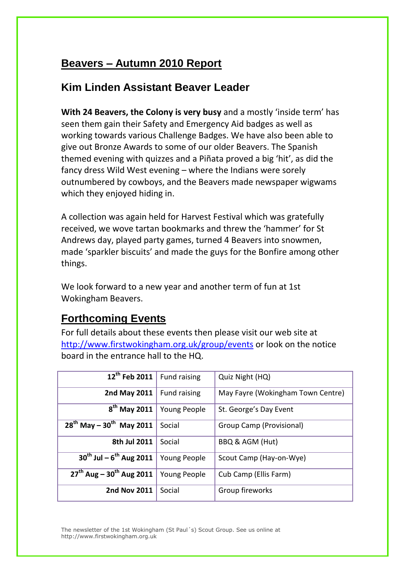### **Beavers – Autumn 2010 Report**

#### **Kim Linden Assistant Beaver Leader**

**With 24 Beavers, the Colony is very busy** and a mostly 'inside term' has seen them gain their Safety and Emergency Aid badges as well as working towards various Challenge Badges. We have also been able to give out Bronze Awards to some of our older Beavers. The Spanish themed evening with quizzes and a Piñata proved a big 'hit', as did the fancy dress Wild West evening – where the Indians were sorely outnumbered by cowboys, and the Beavers made newspaper wigwams which they enjoyed hiding in.

A collection was again held for Harvest Festival which was gratefully received, we wove tartan bookmarks and threw the 'hammer' for St Andrews day, played party games, turned 4 Beavers into snowmen, made 'sparkler biscuits' and made the guys for the Bonfire among other things.

We look forward to a new year and another term of fun at 1st Wokingham Beavers.

## **Forthcoming Events**

For full details about these events then please visit our web site at <http://www.firstwokingham.org.uk/group/events> or look on the notice board in the entrance hall to the HQ.

| 12 <sup>th</sup> Feb 2011                 | Fund raising        | Quiz Night (HQ)                   |
|-------------------------------------------|---------------------|-----------------------------------|
| 2nd May 2011                              | <b>Fund raising</b> | May Fayre (Wokingham Town Centre) |
| 8 <sup>th</sup> May 2011                  | Young People        | St. George's Day Event            |
| $28^{th}$ May - $30^{th}$ May 2011        | Social              | Group Camp (Provisional)          |
| 8th Jul 2011                              | Social              | BBQ & AGM (Hut)                   |
| $30^{th}$ Jul – $6^{th}$ Aug 2011         | Young People        | Scout Camp (Hay-on-Wye)           |
| $27^{th}$ Aug - 30 <sup>th</sup> Aug 2011 | Young People        | Cub Camp (Ellis Farm)             |
| <b>2nd Nov 2011</b>                       | Social              | Group fireworks                   |

The newsletter of the 1st Wokingham (St Paul´s) Scout Group. See us online at http://www.firstwokingham.org.uk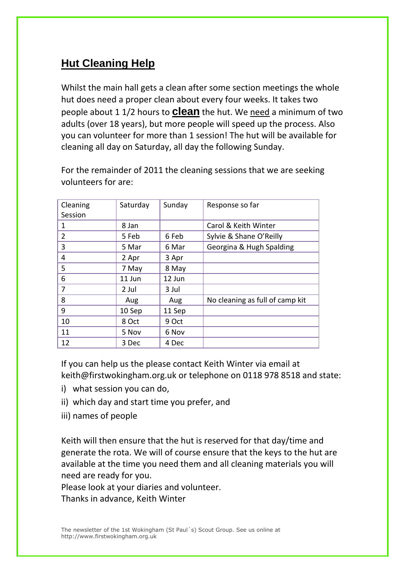## **Hut Cleaning Help**

Whilst the main hall gets a clean after some section meetings the whole hut does need a proper clean about every four weeks. It takes two people about 1 1/2 hours to **clean** the hut. We need a minimum of two adults (over 18 years), but more people will speed up the process. Also you can volunteer for more than 1 session! The hut will be available for cleaning all day on Saturday, all day the following Sunday.

Cleaning Session Saturday Sunday Response so far 1 8 Jan Carol & Keith Winter 2 3 Sep 6 Feb Sylvie & Shane O'Reilly 3 5 Mar 6 Mar Georgina & Hugh Spalding 4 2 Apr 3 Apr 5 7 May 8 May 6 11 Jun 12 Jun 7 2 Jul 3 Jul 8 Aug Aug Aug No cleaning as full of camp kit 9 10 Sep 11 Sep 10 8 Oct 9 Oct 11 | 5 Nov | 6 Nov 12 3 Dec 4 Dec

For the remainder of 2011 the cleaning sessions that we are seeking volunteers for are:

If you can help us the please contact Keith Winter via email at [keith@firstwokingham.org.uk](mailto:firstnews@firstwokingham.org.uk) or telephone on 0118 978 8518 and state:

- i) what session you can do,
- ii) which day and start time you prefer, and
- iii) names of people

Keith will then ensure that the hut is reserved for that day/time and generate the rota. We will of course ensure that the keys to the hut are available at the time you need them and all cleaning materials you will need are ready for you.

Please look at your diaries and volunteer.

Thanks in advance, Keith Winter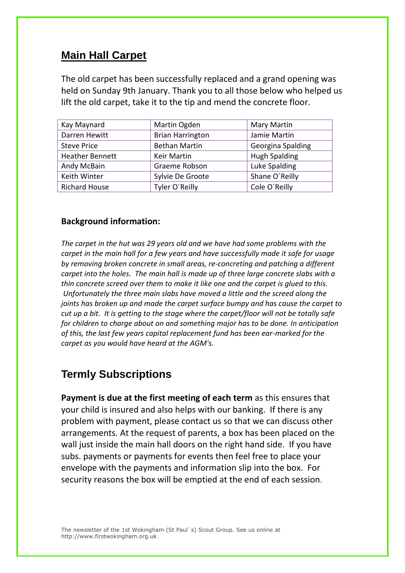### **Main Hall Carpet**

The old carpet has been successfully replaced and a grand opening was held on Sunday 9th January. Thank you to all those below who helped us lift the old carpet, take it to the tip and mend the concrete floor.

| Kay Maynard            | Martin Ogden            | Mary Martin          |
|------------------------|-------------------------|----------------------|
| Darren Hewitt          | <b>Brian Harrington</b> | Jamie Martin         |
| <b>Steve Price</b>     | <b>Bethan Martin</b>    | Georgina Spalding    |
| <b>Heather Bennett</b> | <b>Keir Martin</b>      | <b>Hugh Spalding</b> |
| Andy McBain            | Graeme Robson           | Luke Spalding        |
| Keith Winter           | Sylvie De Groote        | Shane O'Reilly       |
| <b>Richard House</b>   | Tyler O'Reilly          | Cole O'Reilly        |

#### **Background information:**

*The carpet in the hut was 29 years old and we have had some problems with the carpet in the main hall for a few years and have successfully made it safe for usage by removing broken concrete in small areas, re-concreting and patching a different carpet into the holes. The main hall is made up of three large concrete slabs with a thin concrete screed over them to make it like one and the carpet is glued to this. Unfortunately the three main slabs have moved a little and the screed along the joints has broken up and made the carpet surface bumpy and has cause the carpet to cut up a bit. It is getting to the stage where the carpet/floor will not be totally safe for children to charge about on and something major has to be done. In anticipation of this, the last few years capital replacement fund has been ear-marked for the carpet as you would have heard at the AGM's.*

#### **Termly Subscriptions**

**Payment is due at the first meeting of each term** as this ensures that your child is insured and also helps with our banking. If there is any problem with payment, please contact us so that we can discuss other arrangements. At the request of parents, a box has been placed on the wall just inside the main hall doors on the right hand side. If you have subs. payments or payments for events then feel free to place your envelope with the payments and information slip into the box. For security reasons the box will be emptied at the end of each session.